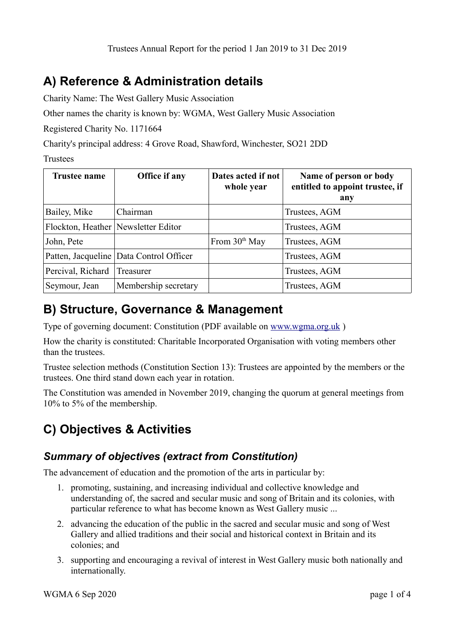# **A) Reference & Administration details**

Charity Name: The West Gallery Music Association

Other names the charity is known by: WGMA, West Gallery Music Association

Registered Charity No. 1171664

Charity's principal address: 4 Grove Road, Shawford, Winchester, SO21 2DD

Trustees

| Trustee name       | Office if any                       | Dates acted if not<br>whole year | Name of person or body<br>entitled to appoint trustee, if<br>any |
|--------------------|-------------------------------------|----------------------------------|------------------------------------------------------------------|
| Bailey, Mike       | Chairman                            |                                  | Trustees, AGM                                                    |
|                    | Flockton, Heather Newsletter Editor |                                  | Trustees, AGM                                                    |
| John, Pete         |                                     | From $30th$ May                  | Trustees, AGM                                                    |
| Patten, Jacqueline | Data Control Officer                |                                  | Trustees, AGM                                                    |
| Percival, Richard  | Treasurer                           |                                  | Trustees, AGM                                                    |
| Seymour, Jean      | Membership secretary                |                                  | Trustees, AGM                                                    |

### **B) Structure, Governance & Management**

Type of governing document: Constitution (PDF available on [www.wgma.org.uk](http://www.wgma.org.uk/) )

How the charity is constituted: Charitable Incorporated Organisation with voting members other than the trustees.

Trustee selection methods (Constitution Section 13): Trustees are appointed by the members or the trustees. One third stand down each year in rotation.

The Constitution was amended in November 2019, changing the quorum at general meetings from 10% to 5% of the membership.

# **C) Objectives & Activities**

### *Summary of objectives (extract from Constitution)*

The advancement of education and the promotion of the arts in particular by:

- 1. promoting, sustaining, and increasing individual and collective knowledge and understanding of, the sacred and secular music and song of Britain and its colonies, with particular reference to what has become known as West Gallery music ...
- 2. advancing the education of the public in the sacred and secular music and song of West Gallery and allied traditions and their social and historical context in Britain and its colonies; and
- 3. supporting and encouraging a revival of interest in West Gallery music both nationally and internationally.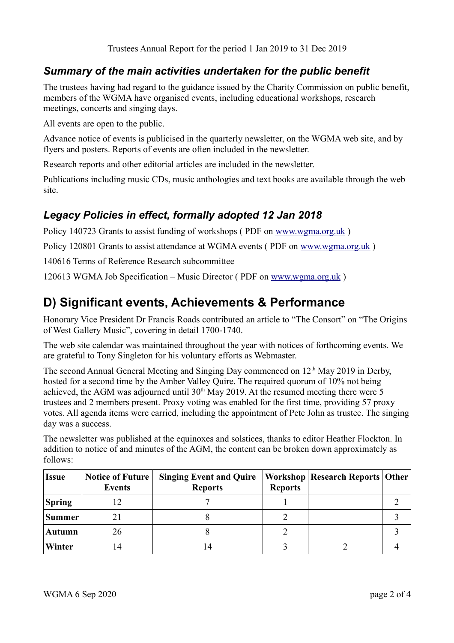#### *Summary of the main activities undertaken for the public benefit*

The trustees having had regard to the guidance issued by the Charity Commission on public benefit, members of the WGMA have organised events, including educational workshops, research meetings, concerts and singing days.

All events are open to the public.

Advance notice of events is publicised in the quarterly newsletter, on the WGMA web site, and by flyers and posters. Reports of events are often included in the newsletter.

Research reports and other editorial articles are included in the newsletter.

Publications including music CDs, music anthologies and text books are available through the web site.

### *Legacy Policies in effect, formally adopted 12 Jan 2018*

Policy 140723 Grants to assist funding of workshops ( PDF on [www.wgma.org.uk](http://www.wgma.org.uk/) )

Policy 120801 Grants to assist attendance at WGMA events ( PDF on [www.wgma.org.uk](http://www.wgma.org.uk/) )

140616 Terms of Reference Research subcommittee

120613 WGMA Job Specification – Music Director ( PDF on [www.wgma.org.uk](http://www.wgma.org.uk/) )

# **D) Significant events, Achievements & Performance**

Honorary Vice President Dr Francis Roads contributed an article to "The Consort" on "The Origins of West Gallery Music", covering in detail 1700-1740.

The web site calendar was maintained throughout the year with notices of forthcoming events. We are grateful to Tony Singleton for his voluntary efforts as Webmaster.

The second Annual General Meeting and Singing Day commenced on  $12<sup>th</sup>$  May 2019 in Derby, hosted for a second time by the Amber Valley Quire. The required quorum of 10% not being achieved, the AGM was adjourned until  $30<sup>th</sup>$  May 2019. At the resumed meeting there were 5 trustees and 2 members present. Proxy voting was enabled for the first time, providing 57 proxy votes. All agenda items were carried, including the appointment of Pete John as trustee. The singing day was a success.

The newsletter was published at the equinoxes and solstices, thanks to editor Heather Flockton. In addition to notice of and minutes of the AGM, the content can be broken down approximately as follows:

| <b>Issue</b>  | <b>Notice of Future</b><br>Events | <b>Singing Event and Quire</b><br><b>Reports</b> | <b>Reports</b> | <b>Workshop   Research Reports   Other  </b> |  |
|---------------|-----------------------------------|--------------------------------------------------|----------------|----------------------------------------------|--|
| <b>Spring</b> |                                   |                                                  |                |                                              |  |
| Summer        |                                   |                                                  |                |                                              |  |
| <b>Autumn</b> | 26                                |                                                  |                |                                              |  |
| Winter        |                                   | 14                                               |                |                                              |  |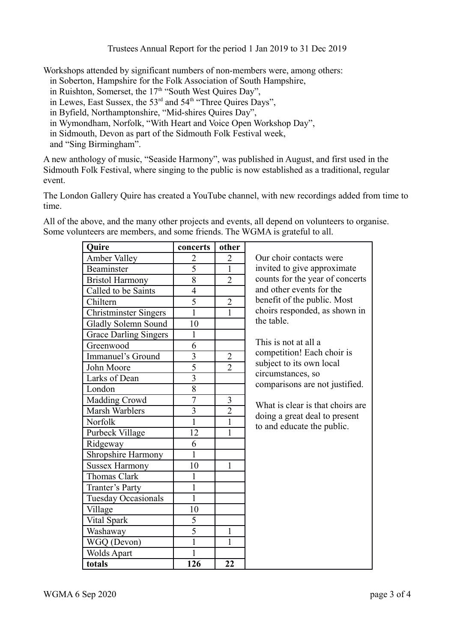Trustees Annual Report for the period 1 Jan 2019 to 31 Dec 2019

Workshops attended by significant numbers of non-members were, among others:

in Soberton, Hampshire for the Folk Association of South Hampshire,

in Ruishton, Somerset, the  $17<sup>th</sup>$  "South West Quires Day",

in Lewes, East Sussex, the 53<sup>rd</sup> and 54<sup>th</sup> "Three Quires Days",

in Byfield, Northamptonshire, "Mid-shires Quires Day",

in Wymondham, Norfolk, "With Heart and Voice Open Workshop Day",

in Sidmouth, Devon as part of the Sidmouth Folk Festival week,

and "Sing Birmingham".

A new anthology of music, "Seaside Harmony", was published in August, and first used in the Sidmouth Folk Festival, where singing to the public is now established as a traditional, regular event.

The London Gallery Quire has created a YouTube channel, with new recordings added from time to time.

All of the above, and the many other projects and events, all depend on volunteers to organise. Some volunteers are members, and some friends. The WGMA is grateful to all.

| <b>Quire</b>                 | concerts       | other          |                                  |
|------------------------------|----------------|----------------|----------------------------------|
| Amber Valley                 | $\overline{2}$ | $\overline{2}$ | Our choir contacts were          |
| Beaminster                   | $\overline{5}$ | $\mathbf{1}$   | invited to give approximate      |
| <b>Bristol Harmony</b>       | 8              | $\overline{2}$ | counts for the year of concerts  |
| Called to be Saints          | $\overline{4}$ |                | and other events for the         |
| Chiltern                     | $\overline{5}$ | $\overline{2}$ | benefit of the public. Most      |
| <b>Christminster Singers</b> | $\mathbf{1}$   | $\mathbf{1}$   | choirs responded, as shown in    |
| Gladly Solemn Sound          | 10             |                | the table.                       |
| <b>Grace Darling Singers</b> | 1              |                |                                  |
| Greenwood                    | 6              |                | This is not at all a             |
| Immanuel's Ground            | $\overline{3}$ | $\overline{2}$ | competition! Each choir is       |
| John Moore                   | $\overline{5}$ | $\overline{2}$ | subject to its own local         |
| Larks of Dean                | $\overline{3}$ |                | circumstances, so                |
| London                       | 8              |                | comparisons are not justified.   |
| Madding Crowd                | $\overline{7}$ | 3              | What is clear is that choirs are |
| Marsh Warblers               | $\overline{3}$ | $\overline{2}$ | doing a great deal to present    |
| Norfolk                      | 1              | $\mathbf{1}$   | to and educate the public.       |
| Purbeck Village              | 12             | 1              |                                  |
| Ridgeway                     | 6              |                |                                  |
| Shropshire Harmony           | 1              |                |                                  |
| <b>Sussex Harmony</b>        | 10             | $\mathbf{1}$   |                                  |
| <b>Thomas Clark</b>          | 1              |                |                                  |
| Tranter's Party              | $\mathbf 1$    |                |                                  |
| <b>Tuesday Occasionals</b>   | $\mathbf{1}$   |                |                                  |
| Village                      | 10             |                |                                  |
| Vital Spark                  | 5              |                |                                  |
| Washaway                     | $\overline{5}$ | $\mathbf{1}$   |                                  |
| WGQ (Devon)                  | $\mathbf{1}$   | $\mathbf{1}$   |                                  |
| <b>Wolds Apart</b>           | 1              |                |                                  |
| totals                       | 126            | 22             |                                  |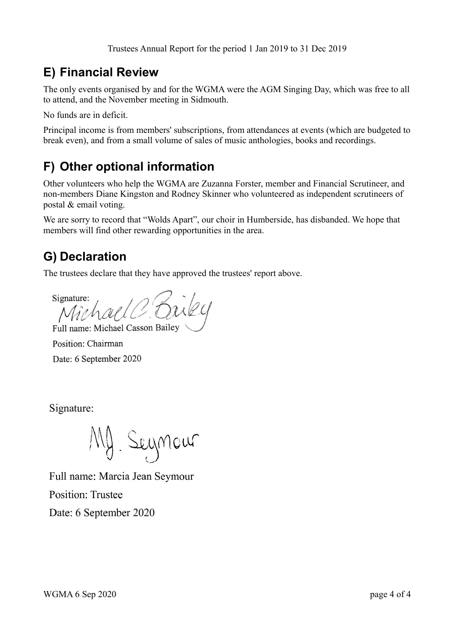Trustees Annual Report for the period 1 Jan 2019 to 31 Dec 2019

## **E) Financial Review**

The only events organised by and for the WGMA were the AGM Singing Day, which was free to all to attend, and the November meeting in Sidmouth.

No funds are in deficit.

Principal income is from members' subscriptions, from attendances at events (which are budgeted to break even), and from a small volume of sales of music anthologies, books and recordings.

## **F) Other optional information**

Other volunteers who help the WGMA are Zuzanna Forster, member and Financial Scrutineer, and non-members Diane Kingston and Rodney Skinner who volunteered as independent scrutineers of postal & email voting.

We are sorry to record that "Wolds Apart", our choir in Humberside, has disbanded. We hope that members will find other rewarding opportunities in the area.

### **G) Declaration**

The trustees declare that they have approved the trustees' report above.

Signature:

Full name: Michael Casson Bailey Position: Chairman Date: 6 September 2020

Signature:

My Seymour

Full name: Marcia Jean Seymour **Position: Trustee** Date: 6 September 2020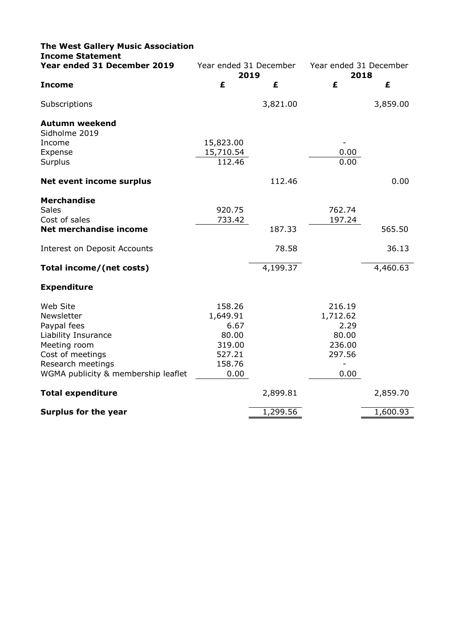| <b>The West Gallery Music Association</b><br><b>Income Statement</b> |                                |          |                                |          |
|----------------------------------------------------------------------|--------------------------------|----------|--------------------------------|----------|
| Year ended 31 December 2019                                          | Year ended 31 December<br>2019 |          | Year ended 31 December<br>2018 |          |
| <b>Income</b>                                                        | £                              | £        | £                              | £        |
| Subscriptions                                                        |                                | 3,821.00 |                                | 3,859.00 |
| <b>Autumn weekend</b><br>Sidholme 2019                               |                                |          |                                |          |
| Income                                                               | 15,823.00                      |          |                                |          |
| Expense                                                              | 15,710.54                      |          | 0.00                           |          |
| Surplus                                                              | 112.46                         |          | 0.00                           |          |
| <b>Net event income surplus</b>                                      |                                | 112.46   |                                | 0.00     |
| <b>Merchandise</b>                                                   |                                |          |                                |          |
| <b>Sales</b>                                                         | 920.75                         |          | 762.74                         |          |
| Cost of sales                                                        | 733.42                         |          | 197.24                         |          |
| Net merchandise income                                               |                                | 187.33   |                                | 565.50   |
| <b>Interest on Deposit Accounts</b>                                  |                                | 78.58    |                                | 36.13    |
| Total income/(net costs)                                             |                                | 4,199.37 |                                | 4,460.63 |
| <b>Expenditure</b>                                                   |                                |          |                                |          |
| Web Site                                                             | 158.26                         |          | 216.19                         |          |
| Newsletter                                                           | 1,649.91                       |          | 1,712.62                       |          |
| Paypal fees                                                          | 6.67                           |          | 2.29                           |          |
| Liability Insurance                                                  | 80.00                          |          | 80.00                          |          |
| Meeting room                                                         | 319.00                         |          | 236.00                         |          |
| Cost of meetings                                                     | 527.21                         |          | 297.56                         |          |
| Research meetings                                                    | 158.76                         |          | $\overline{a}$                 |          |
| WGMA publicity & membership leaflet                                  | 0.00                           |          | 0.00                           |          |
| <b>Total expenditure</b>                                             |                                | 2,899.81 |                                | 2,859.70 |
| <b>Surplus for the year</b>                                          |                                | 1,299.56 |                                | 1,600.93 |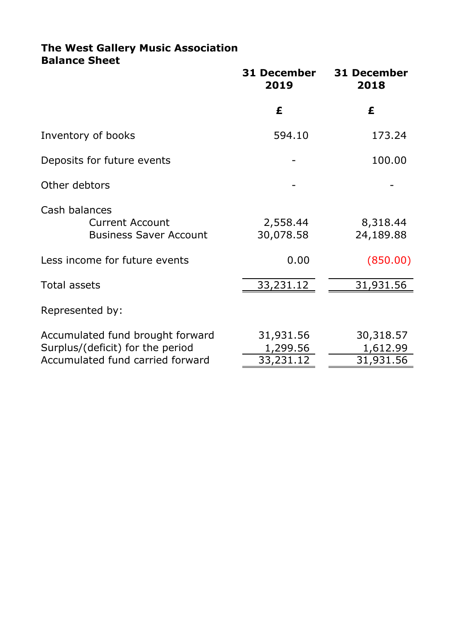### **The West Gallery Music Association Balance Sheet**

|                                                                                                          | 31 December<br>2019                | <b>31 December</b><br>2018         |
|----------------------------------------------------------------------------------------------------------|------------------------------------|------------------------------------|
|                                                                                                          | £                                  | £                                  |
| Inventory of books                                                                                       | 594.10                             | 173.24                             |
| Deposits for future events                                                                               |                                    | 100.00                             |
| Other debtors                                                                                            |                                    |                                    |
| Cash balances<br><b>Current Account</b><br><b>Business Saver Account</b>                                 | 2,558.44<br>30,078.58              | 8,318.44<br>24,189.88              |
| Less income for future events                                                                            | 0.00                               | (850.00)                           |
| Total assets                                                                                             | 33,231.12                          | 31,931.56                          |
| Represented by:                                                                                          |                                    |                                    |
| Accumulated fund brought forward<br>Surplus/(deficit) for the period<br>Accumulated fund carried forward | 31,931.56<br>1,299.56<br>33,231.12 | 30,318.57<br>1,612.99<br>31,931.56 |
|                                                                                                          |                                    |                                    |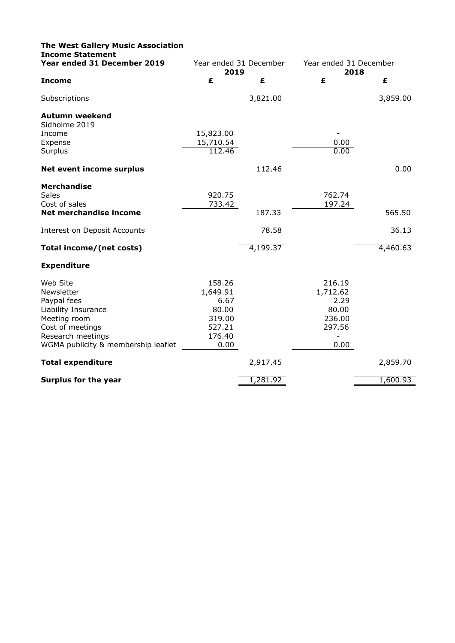| <b>The West Gallery Music Association</b><br><b>Income Statement</b> |                                |          |                                |          |
|----------------------------------------------------------------------|--------------------------------|----------|--------------------------------|----------|
| Year ended 31 December 2019                                          | Year ended 31 December<br>2019 |          | Year ended 31 December<br>2018 |          |
| <b>Income</b>                                                        | £                              | £        | £                              | £        |
| Subscriptions                                                        |                                | 3,821.00 |                                | 3,859.00 |
| <b>Autumn weekend</b>                                                |                                |          |                                |          |
| Sidholme 2019                                                        |                                |          |                                |          |
| Income                                                               | 15,823.00                      |          |                                |          |
| Expense                                                              | 15,710.54                      |          | 0.00                           |          |
| Surplus                                                              | 112.46                         |          | 0.00                           |          |
| Net event income surplus                                             |                                | 112.46   |                                | 0.00     |
| <b>Merchandise</b>                                                   |                                |          |                                |          |
| <b>Sales</b>                                                         | 920.75                         |          | 762.74                         |          |
| Cost of sales                                                        | 733.42                         |          | 197.24                         |          |
| Net merchandise income                                               |                                | 187.33   |                                | 565.50   |
| <b>Interest on Deposit Accounts</b>                                  |                                | 78.58    |                                | 36.13    |
| Total income/(net costs)                                             |                                | 4,199.37 |                                | 4,460.63 |
| <b>Expenditure</b>                                                   |                                |          |                                |          |
| Web Site                                                             | 158.26                         |          | 216.19                         |          |
| Newsletter                                                           | 1,649.91                       |          | 1,712.62                       |          |
| Paypal fees                                                          | 6.67                           |          | 2.29                           |          |
| Liability Insurance                                                  | 80.00                          |          | 80.00                          |          |
| Meeting room                                                         | 319.00                         |          | 236.00                         |          |
| Cost of meetings                                                     | 527.21                         |          | 297.56                         |          |
| Research meetings                                                    | 176.40                         |          | $\blacksquare$                 |          |
| WGMA publicity & membership leaflet                                  | 0.00                           |          | 0.00                           |          |
| <b>Total expenditure</b>                                             |                                | 2,917.45 |                                | 2,859.70 |
| <b>Surplus for the year</b>                                          |                                | 1,281.92 |                                | 1,600.93 |